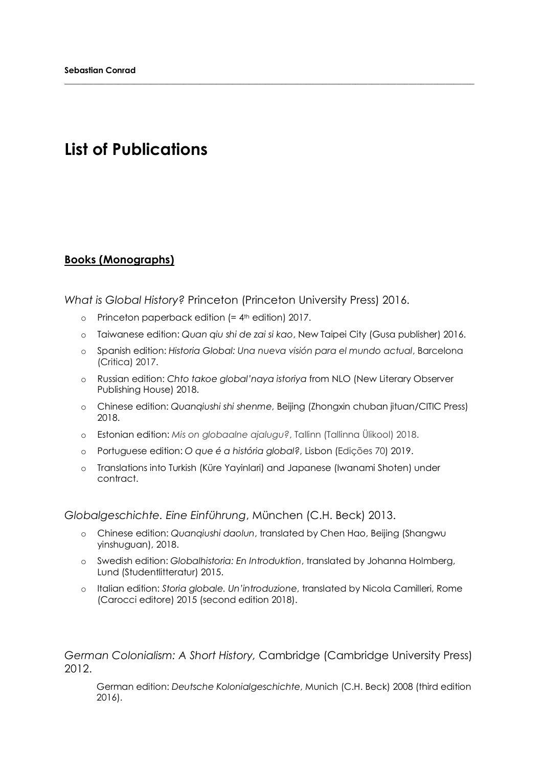# **List of Publications**

### **Books (Monographs)**

*What is Global History?* Princeton (Princeton University Press) 2016.

- $o$  Princeton paperback edition (=  $4<sup>th</sup>$  edition) 2017.
- o Taiwanese edition: *Quan qiu shi de zai si kao*, New Taipei City (Gusa publisher) 2016.

**\_\_\_\_\_\_\_\_\_\_\_\_\_\_\_\_\_\_\_\_\_\_\_\_\_\_\_\_\_\_\_\_\_\_\_\_\_\_\_\_\_\_\_\_\_\_\_\_\_\_\_\_\_\_\_\_\_\_\_\_\_\_\_\_\_\_\_\_\_\_\_\_\_\_\_\_\_\_\_\_\_\_\_\_\_\_\_\_\_\_\_\_\_\_\_\_\_\_\_\_**

- o Spanish edition: *Historia Global: Una nueva visión para el mundo actual*, Barcelona (Critica) 2017.
- o Russian edition: *Chto takoe global'naya istoriya* from NLO (New Literary Observer Publishing House) 2018.
- o Chinese edition: *Quanqiushi shi shenme*, Beijing (Zhongxin chuban jituan/CITIC Press) 2018.
- o Estonian edition: *Mis on globaalne ajalugu?*, Tallinn (Tallinna Ülikool) 2018.
- o Portuguese edition: *O que é a história global?*, Lisbon (Edições 70) 2019.
- o Translations into Turkish (Küre Yayinlari) and Japanese (Iwanami Shoten) under contract.

*Globalgeschichte. Eine Einführung*, München (C.H. Beck) 2013.

- o Chinese edition: *Quanqiushi daolun*, translated by Chen Hao, Beijing (Shangwu yinshuguan), 2018.
- o Swedish edition: *Globalhistoria: En Introduktion*, translated by Johanna Holmberg, Lund (Studentlitteratur) 2015.
- o Italian edition: *Storia globale. Un'introduzione*, translated by Nicola Camilleri, Rome (Carocci editore) 2015 (second edition 2018).

*German Colonialism: A Short History,* Cambridge (Cambridge University Press) 2012.

German edition: *Deutsche Kolonialgeschichte*, Munich (C.H. Beck) 2008 (third edition 2016).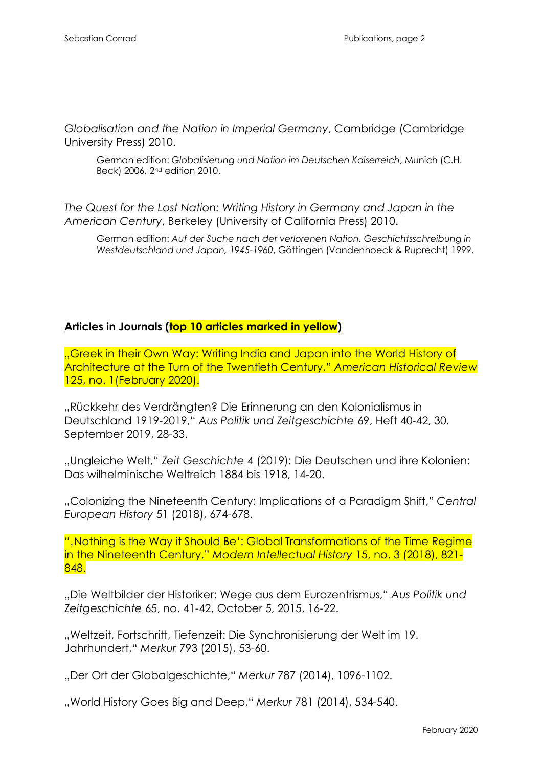*Globalisation and the Nation in Imperial Germany*, Cambridge (Cambridge University Press) 2010.

German edition: *Globalisierung und Nation im Deutschen Kaiserreich*, Munich (C.H. Beck) 2006, 2nd edition 2010.

*The Quest for the Lost Nation: Writing History in Germany and Japan in the American Century*, Berkeley (University of California Press) 2010.

German edition: *Auf der Suche nach der verlorenen Nation. Geschichtsschreibung in Westdeutschland und Japan, 1945-1960*, Göttingen (Vandenhoeck & Ruprecht) 1999.

#### **Articles in Journals (top 10 articles marked in yellow)**

"Greek in their Own Way: Writing India and Japan into the World History of Architecture at the Turn of the Twentieth Century," *American Historical Review* 125, no. 1(February 2020).

"Rückkehr des Verdrängten? Die Erinnerung an den Kolonialismus in Deutschland 1919-2019," *Aus Politik und Zeitgeschichte* 69, Heft 40-42, 30. September 2019, 28-33.

"Ungleiche Welt," *Zeit Geschichte* 4 (2019): Die Deutschen und ihre Kolonien: Das wilhelminische Weltreich 1884 bis 1918, 14-20.

"Colonizing the Nineteenth Century: Implications of a Paradigm Shift," *Central European History* 51 (2018), 674-678.

"'Nothing is the Way it Should Be': Global Transformations of the Time Regime in the Nineteenth Century," *Modern Intellectual History* 15, no. 3 (2018), 821- 848.

"Die Weltbilder der Historiker: Wege aus dem Eurozentrismus," *Aus Politik und Zeitgeschichte* 65, no. 41-42, October 5, 2015, 16-22.

"Weltzeit, Fortschritt, Tiefenzeit: Die Synchronisierung der Welt im 19. Jahrhundert," *Merkur* 793 (2015), 53-60.

"Der Ort der Globalgeschichte," *Merkur* 787 (2014), 1096-1102.

"World History Goes Big and Deep," *Merkur* 781 (2014), 534-540.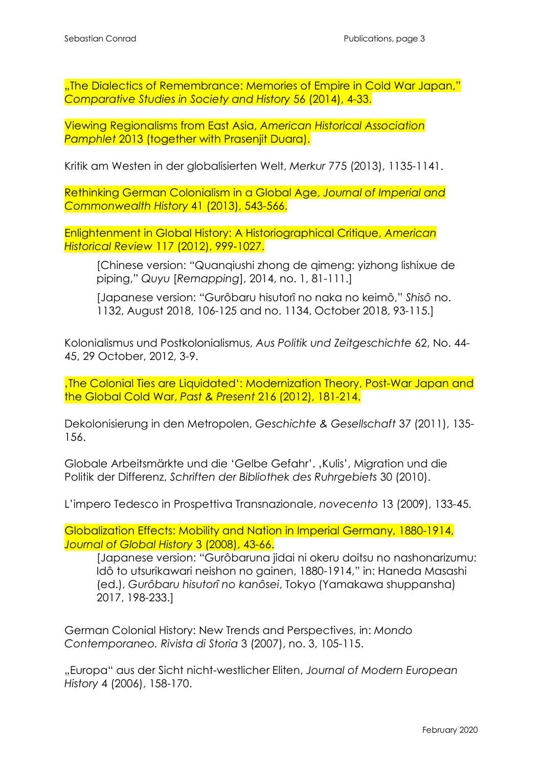"The Dialectics of Remembrance: Memories of Empire in Cold War Japan," *Comparative Studies in Society and History* 56 (2014), 4-33.

Viewing Regionalisms from East Asia, *American Historical Association Pamphlet* 2013 (together with Prasenjit Duara).

Kritik am Westen in der globalisierten Welt, *Merkur* 775 (2013), 1135-1141.

Rethinking German Colonialism in a Global Age, *Journal of Imperial and Commonwealth History* 41 (2013), 543-566.

Enlightenment in Global History: A Historiographical Critique, *American Historical Review* 117 (2012), 999-1027.

[Chinese version: "Quanqiushi zhong de qimeng: yizhong lishixue de piping," *Quyu* [*Remapping*], 2014, no. 1, 81-111.]

[Japanese version: "Gurôbaru hisutorî no naka no keimô," *Shisô* no. 1132, August 2018, 106-125 and no. 1134, October 2018, 93-115.]

Kolonialismus und Postkolonialismus, *Aus Politik und Zeitgeschichte* 62, No. 44- 45, 29 October, 2012, 3-9.

'The Colonial Ties are Liquidated': Modernization Theory, Post-War Japan and the Global Cold War, *Past & Present* 216 (2012), 181-214.

Dekolonisierung in den Metropolen, *Geschichte & Gesellschaft* 37 (2011), 135- 156.

Globale Arbeitsmärkte und die 'Gelbe Gefahr'. "Kulis', Migration und die Politik der Differenz, *Schriften der Bibliothek des Ruhrgebiets* 30 (2010).

L'impero Tedesco in Prospettiva Transnazionale, *novecento* 13 (2009), 133-45.

Globalization Effects: Mobility and Nation in Imperial Germany, 1880-1914, *Journal of Global History* 3 (2008), 43-66.

[Japanese version: "Gurôbaruna jidai ni okeru doitsu no nashonarizumu: Idô to utsurikawari neishon no gainen, 1880-1914," in: Haneda Masashi (ed.), *Gurôbaru hisutorî no kanôsei*, Tokyo (Yamakawa shuppansha) 2017, 198-233.]

German Colonial History: New Trends and Perspectives, in: *Mondo Contemporaneo. Rivista di Storia* 3 (2007), no. 3, 105-115.

"Europa" aus der Sicht nicht-westlicher Eliten, *Journal of Modern European History* 4 (2006), 158-170.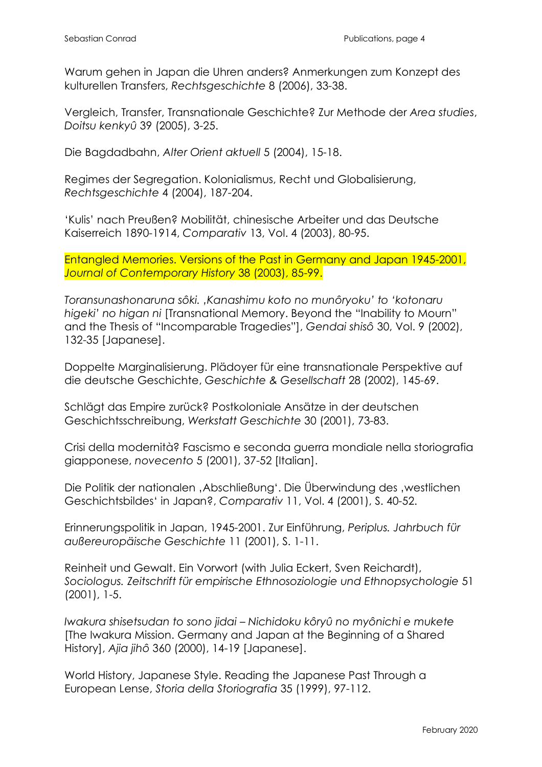Warum gehen in Japan die Uhren anders? Anmerkungen zum Konzept des kulturellen Transfers, *Rechtsgeschichte* 8 (2006), 33-38.

Vergleich, Transfer, Transnationale Geschichte? Zur Methode der *Area studies*, *Doitsu kenkyû* 39 (2005), 3-25.

Die Bagdadbahn, *Alter Orient aktuell* 5 (2004), 15-18.

Regimes der Segregation. Kolonialismus, Recht und Globalisierung, *Rechtsgeschichte* 4 (2004), 187-204.

'Kulis' nach Preußen? Mobilität, chinesische Arbeiter und das Deutsche Kaiserreich 1890-1914, *Comparativ* 13, Vol. 4 (2003), 80-95.

Entangled Memories. Versions of the Past in Germany and Japan 1945-2001, *Journal of Contemporary History* 38 (2003), 85-99.

*Toransunashonaruna sôki. 'Kanashimu koto no munôryoku' to 'kotonaru higeki' no higan ni* [Transnational Memory. Beyond the "Inability to Mourn" and the Thesis of "Incomparable Tragedies"], *Gendai shisô* 30, Vol. 9 (2002), 132-35 [Japanese].

Doppelte Marginalisierung. Plädoyer für eine transnationale Perspektive auf die deutsche Geschichte, *Geschichte & Gesellschaft* 28 (2002), 145-69.

Schlägt das Empire zurück? Postkoloniale Ansätze in der deutschen Geschichtsschreibung, *Werkstatt Geschichte* 30 (2001), 73-83.

Crisi della modernità? Fascismo e seconda guerra mondiale nella storiografia giapponese, *novecento* 5 (2001), 37-52 [Italian].

Die Politik der nationalen , Abschließung'. Die Überwindung des , westlichen Geschichtsbildes' in Japan?, *Comparativ* 11, Vol. 4 (2001), S. 40-52.

Erinnerungspolitik in Japan, 1945-2001. Zur Einführung, *Periplus. Jahrbuch für außereuropäische Geschichte* 11 (2001), S. 1-11.

Reinheit und Gewalt. Ein Vorwort (with Julia Eckert, Sven Reichardt), *Sociologus. Zeitschrift für empirische Ethnosoziologie und Ethnopsychologie* 51 (2001), 1-5.

*Iwakura shisetsudan to sono jidai – Nichidoku kôryû no myônichi e mukete* [The Iwakura Mission. Germany and Japan at the Beginning of a Shared History], *Ajia jihô* 360 (2000), 14-19 [Japanese].

World History, Japanese Style. Reading the Japanese Past Through a European Lense, *Storia della Storiografia* 35 (1999), 97-112.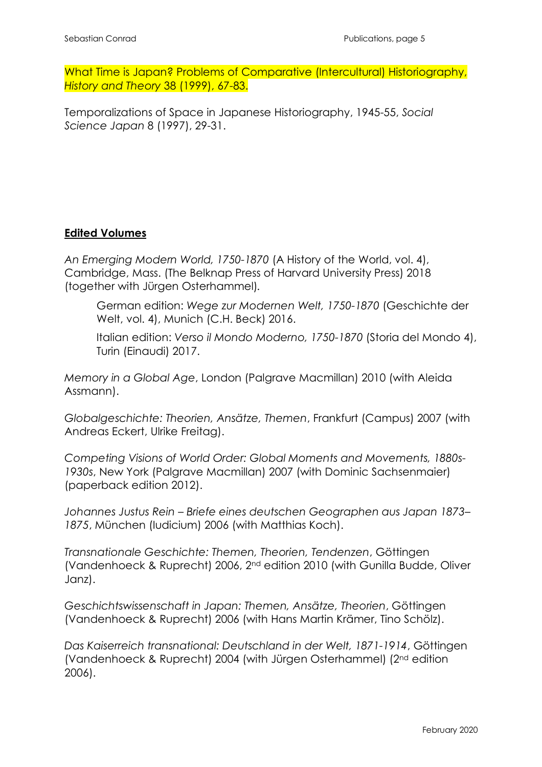What Time is Japan? Problems of Comparative (Intercultural) Historiography, *History and Theory* 38 (1999), 67-83.

Temporalizations of Space in Japanese Historiography, 1945-55, *Social Science Japan* 8 (1997), 29-31.

## **Edited Volumes**

*An Emerging Modern World, 1750-1870* (A History of the World, vol. 4), Cambridge, Mass. (The Belknap Press of Harvard University Press) 2018 (together with Jürgen Osterhammel)*.*

German edition: *Wege zur Modernen Welt, 1750-1870* (Geschichte der Welt, vol. 4), Munich (C.H. Beck) 2016.

Italian edition: *Verso il Mondo Moderno, 1750-1870* (Storia del Mondo 4), Turin (Einaudi) 2017.

*Memory in a Global Age*, London (Palgrave Macmillan) 2010 (with Aleida Assmann).

*Globalgeschichte: Theorien, Ansätze, Themen*, Frankfurt (Campus) 2007 (with Andreas Eckert, Ulrike Freitag).

*Competing Visions of World Order: Global Moments and Movements, 1880s-1930s*, New York (Palgrave Macmillan) 2007 (with Dominic Sachsenmaier) (paperback edition 2012).

*Johannes Justus Rein – Briefe eines deutschen Geographen aus Japan 1873– 1875*, München (Iudicium) 2006 (with Matthias Koch).

*Transnationale Geschichte: Themen, Theorien, Tendenzen*, Göttingen (Vandenhoeck & Ruprecht) 2006, 2nd edition 2010 (with Gunilla Budde, Oliver Janz).

*Geschichtswissenschaft in Japan: Themen, Ansätze, Theorien*, Göttingen (Vandenhoeck & Ruprecht) 2006 (with Hans Martin Krämer, Tino Schölz).

*Das Kaiserreich transnational: Deutschland in der Welt, 1871-1914*, Göttingen (Vandenhoeck & Ruprecht) 2004 (with Jürgen Osterhammel) (2nd edition 2006).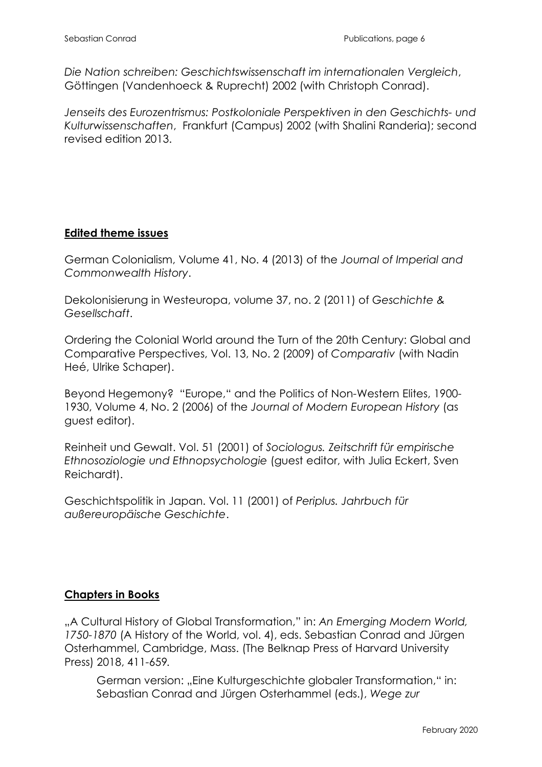*Die Nation schreiben: Geschichtswissenschaft im internationalen Vergleich*, Göttingen (Vandenhoeck & Ruprecht) 2002 (with Christoph Conrad).

*Jenseits des Eurozentrismus: Postkoloniale Perspektiven in den Geschichts- und Kulturwissenschaften*, Frankfurt (Campus) 2002 (with Shalini Randeria); second revised edition 2013.

### **Edited theme issues**

German Colonialism, Volume 41, No. 4 (2013) of the *Journal of Imperial and Commonwealth History*.

Dekolonisierung in Westeuropa, volume 37, no. 2 (2011) of *Geschichte & Gesellschaft*.

Ordering the Colonial World around the Turn of the 20th Century: Global and Comparative Perspectives, Vol. 13, No. 2 (2009) of *Comparativ* (with Nadin Heé, Ulrike Schaper).

Beyond Hegemony? "Europe," and the Politics of Non-Western Elites, 1900- 1930, Volume 4, No. 2 (2006) of the *Journal of Modern European History* (as guest editor).

Reinheit und Gewalt. Vol. 51 (2001) of *Sociologus. Zeitschrift für empirische Ethnosoziologie und Ethnopsychologie* (guest editor, with Julia Eckert, Sven Reichardt).

Geschichtspolitik in Japan. Vol. 11 (2001) of *Periplus. Jahrbuch für außereuropäische Geschichte*.

# **Chapters in Books**

"A Cultural History of Global Transformation," in: *An Emerging Modern World, 1750-1870* (A History of the World, vol. 4), eds. Sebastian Conrad and Jürgen Osterhammel, Cambridge, Mass. (The Belknap Press of Harvard University Press) 2018, 411-659*.*

German version: "Eine Kulturgeschichte globaler Transformation," in: Sebastian Conrad and Jürgen Osterhammel (eds.), *Wege zur*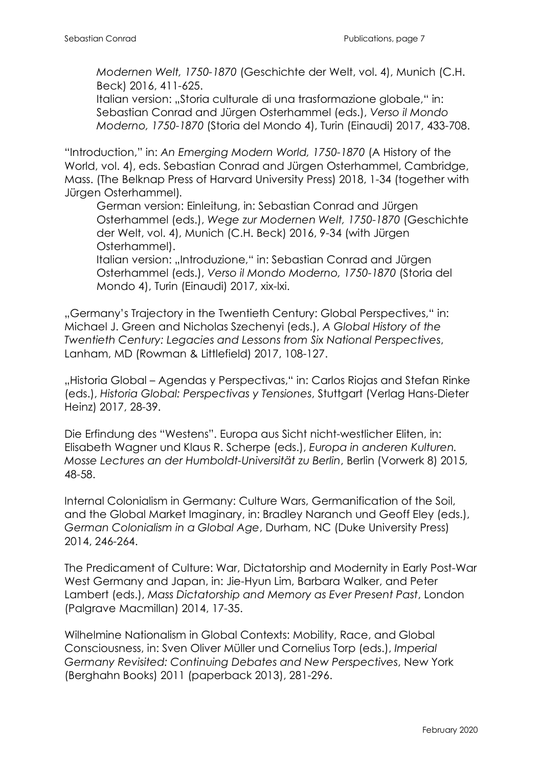*Modernen Welt, 1750-1870* (Geschichte der Welt, vol. 4), Munich (C.H. Beck) 2016, 411-625.

Italian version: "Storia culturale di una trasformazione globale," in: Sebastian Conrad and Jürgen Osterhammel (eds.), *Verso il Mondo Moderno, 1750-1870* (Storia del Mondo 4), Turin (Einaudi) 2017, 433-708.

"Introduction," in: *An Emerging Modern World, 1750-1870* (A History of the World, vol. 4), eds. Sebastian Conrad and Jürgen Osterhammel, Cambridge, Mass. (The Belknap Press of Harvard University Press) 2018, 1-34 (together with Jürgen Osterhammel)*.*

German version: Einleitung, in: Sebastian Conrad and Jürgen Osterhammel (eds.), *Wege zur Modernen Welt, 1750-1870* (Geschichte der Welt, vol. 4), Munich (C.H. Beck) 2016, 9-34 (with Jürgen Osterhammel).

Italian version: "Introduzione," in: Sebastian Conrad and Jürgen Osterhammel (eds.), *Verso il Mondo Moderno, 1750-1870* (Storia del Mondo 4), Turin (Einaudi) 2017, xix-lxi.

"Germany's Trajectory in the Twentieth Century: Global Perspectives," in: Michael J. Green and Nicholas Szechenyi (eds.), *A Global History of the Twentieth Century: Legacies and Lessons from Six National Perspectives*, Lanham, MD (Rowman & Littlefield) 2017, 108-127.

"Historia Global – Agendas y Perspectivas," in: Carlos Riojas and Stefan Rinke (eds.), *Historia Global: Perspectivas y Tensiones*, Stuttgart (Verlag Hans-Dieter Heinz) 2017, 28-39.

Die Erfindung des "Westens". Europa aus Sicht nicht-westlicher Eliten, in: Elisabeth Wagner und Klaus R. Scherpe (eds.), *Europa in anderen Kulturen. Mosse Lectures an der Humboldt-Universität zu Berlin*, Berlin (Vorwerk 8) 2015, 48-58.

Internal Colonialism in Germany: Culture Wars, Germanification of the Soil, and the Global Market Imaginary, in: Bradley Naranch und Geoff Eley (eds.), *German Colonialism in a Global Age*, Durham, NC (Duke University Press) 2014, 246-264.

The Predicament of Culture: War, Dictatorship and Modernity in Early Post-War West Germany and Japan, in: Jie-Hyun Lim, Barbara Walker, and Peter Lambert (eds.), *Mass Dictatorship and Memory as Ever Present Past*, London (Palgrave Macmillan) 2014, 17-35.

Wilhelmine Nationalism in Global Contexts: Mobility, Race, and Global Consciousness, in: Sven Oliver Müller und Cornelius Torp (eds.), *Imperial Germany Revisited: Continuing Debates and New Perspectives*, New York (Berghahn Books) 2011 (paperback 2013), 281-296.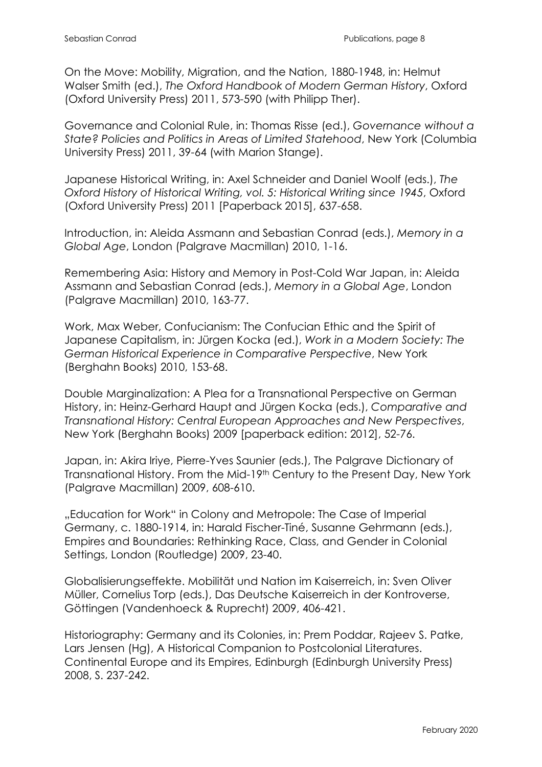On the Move: Mobility, Migration, and the Nation, 1880-1948, in: Helmut Walser Smith (ed.), *The Oxford Handbook of Modern German History*, Oxford (Oxford University Press) 2011, 573-590 (with Philipp Ther).

Governance and Colonial Rule, in: Thomas Risse (ed.), *Governance without a State? Policies and Politics in Areas of Limited Statehood*, New York (Columbia University Press) 2011, 39-64 (with Marion Stange).

Japanese Historical Writing, in: Axel Schneider and Daniel Woolf (eds.), *The Oxford History of Historical Writing, vol. 5: Historical Writing since 1945*, Oxford (Oxford University Press) 2011 [Paperback 2015], 637-658.

Introduction, in: Aleida Assmann and Sebastian Conrad (eds.), *Memory in a Global Age*, London (Palgrave Macmillan) 2010, 1-16.

Remembering Asia: History and Memory in Post-Cold War Japan, in: Aleida Assmann and Sebastian Conrad (eds.), *Memory in a Global Age*, London (Palgrave Macmillan) 2010, 163-77.

Work, Max Weber, Confucianism: The Confucian Ethic and the Spirit of Japanese Capitalism, in: Jürgen Kocka (ed.), *Work in a Modern Society: The German Historical Experience in Comparative Perspective*, New York (Berghahn Books) 2010, 153-68.

Double Marginalization: A Plea for a Transnational Perspective on German History, in: Heinz-Gerhard Haupt and Jürgen Kocka (eds.), *Comparative and Transnational History: Central European Approaches and New Perspectives*, New York (Berghahn Books) 2009 [paperback edition: 2012], 52-76.

Japan, in: Akira Iriye, Pierre-Yves Saunier (eds.), The Palgrave Dictionary of Transnational History. From the Mid-19th Century to the Present Day, New York (Palgrave Macmillan) 2009, 608-610.

"Education for Work" in Colony and Metropole: The Case of Imperial Germany, c. 1880-1914, in: Harald Fischer-Tiné, Susanne Gehrmann (eds.), Empires and Boundaries: Rethinking Race, Class, and Gender in Colonial Settings, London (Routledge) 2009, 23-40.

Globalisierungseffekte. Mobilität und Nation im Kaiserreich, in: Sven Oliver Müller, Cornelius Torp (eds.), Das Deutsche Kaiserreich in der Kontroverse, Göttingen (Vandenhoeck & Ruprecht) 2009, 406-421.

Historiography: Germany and its Colonies, in: Prem Poddar, Rajeev S. Patke, Lars Jensen (Hg), A Historical Companion to Postcolonial Literatures. Continental Europe and its Empires, Edinburgh (Edinburgh University Press) 2008, S. 237-242.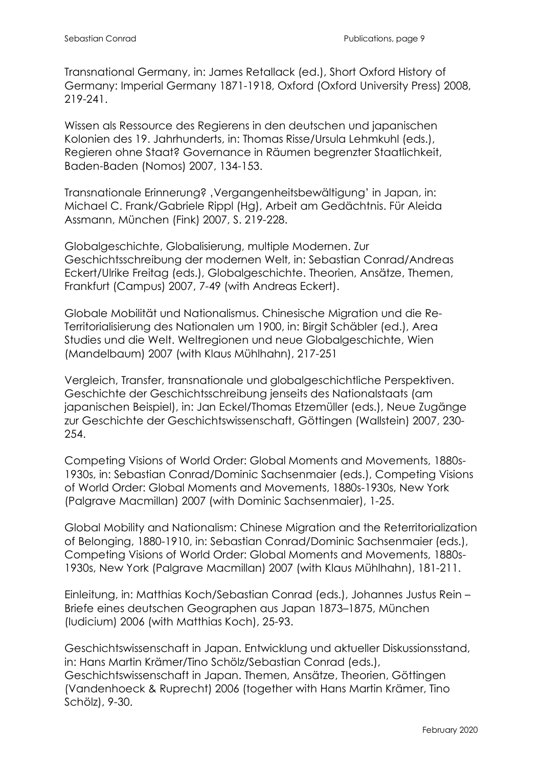Transnational Germany, in: James Retallack (ed.), Short Oxford History of Germany: Imperial Germany 1871-1918, Oxford (Oxford University Press) 2008, 219-241.

Wissen als Ressource des Regierens in den deutschen und japanischen Kolonien des 19. Jahrhunderts, in: Thomas Risse/Ursula Lehmkuhl (eds.), Regieren ohne Staat? Governance in Räumen begrenzter Staatlichkeit, Baden-Baden (Nomos) 2007, 134-153.

Transnationale Erinnerung?, Vergangenheitsbewältigung' in Japan, in: Michael C. Frank/Gabriele Rippl (Hg), Arbeit am Gedächtnis. Für Aleida Assmann, München (Fink) 2007, S. 219-228.

Globalgeschichte, Globalisierung, multiple Modernen. Zur Geschichtsschreibung der modernen Welt, in: Sebastian Conrad/Andreas Eckert/Ulrike Freitag (eds.), Globalgeschichte. Theorien, Ansätze, Themen, Frankfurt (Campus) 2007, 7-49 (with Andreas Eckert).

Globale Mobilität und Nationalismus. Chinesische Migration und die Re-Territorialisierung des Nationalen um 1900, in: Birgit Schäbler (ed.), Area Studies und die Welt. Weltregionen und neue Globalgeschichte, Wien (Mandelbaum) 2007 (with Klaus Mühlhahn), 217-251

Vergleich, Transfer, transnationale und globalgeschichtliche Perspektiven. Geschichte der Geschichtsschreibung jenseits des Nationalstaats (am japanischen Beispiel), in: Jan Eckel/Thomas Etzemüller (eds.), Neue Zugänge zur Geschichte der Geschichtswissenschaft, Göttingen (Wallstein) 2007, 230- 254.

Competing Visions of World Order: Global Moments and Movements, 1880s-1930s, in: Sebastian Conrad/Dominic Sachsenmaier (eds.), Competing Visions of World Order: Global Moments and Movements, 1880s-1930s, New York (Palgrave Macmillan) 2007 (with Dominic Sachsenmaier), 1-25.

Global Mobility and Nationalism: Chinese Migration and the Reterritorialization of Belonging, 1880-1910, in: Sebastian Conrad/Dominic Sachsenmaier (eds.), Competing Visions of World Order: Global Moments and Movements, 1880s-1930s, New York (Palgrave Macmillan) 2007 (with Klaus Mühlhahn), 181-211.

Einleitung, in: Matthias Koch/Sebastian Conrad (eds.), Johannes Justus Rein – Briefe eines deutschen Geographen aus Japan 1873–1875, München (Iudicium) 2006 (with Matthias Koch), 25-93.

Geschichtswissenschaft in Japan. Entwicklung und aktueller Diskussionsstand, in: Hans Martin Krämer/Tino Schölz/Sebastian Conrad (eds.), Geschichtswissenschaft in Japan. Themen, Ansätze, Theorien, Göttingen (Vandenhoeck & Ruprecht) 2006 (together with Hans Martin Krämer, Tino Schölz), 9-30.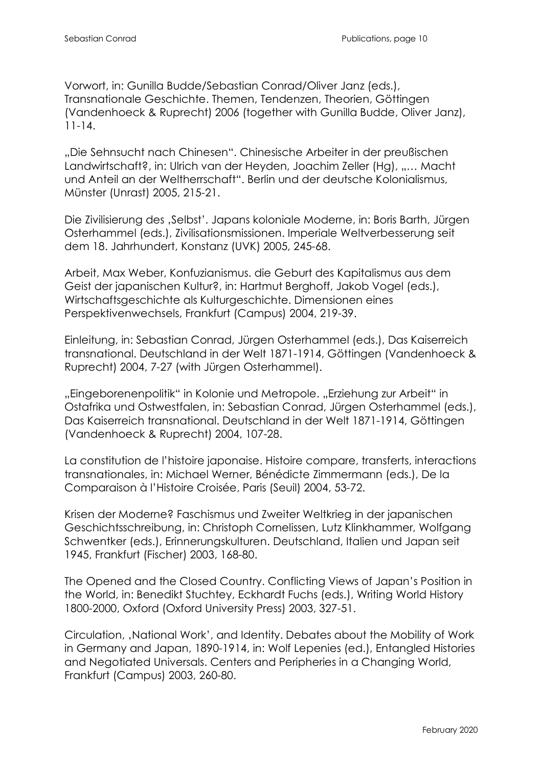Vorwort, in: Gunilla Budde/Sebastian Conrad/Oliver Janz (eds.), Transnationale Geschichte. Themen, Tendenzen, Theorien, Göttingen (Vandenhoeck & Ruprecht) 2006 (together with Gunilla Budde, Oliver Janz), 11-14.

"Die Sehnsucht nach Chinesen". Chinesische Arbeiter in der preußischen Landwirtschaft?, in: Ulrich van der Heyden, Joachim Zeller (Hg), "… Macht und Anteil an der Weltherrschaft". Berlin und der deutsche Kolonialismus, Münster (Unrast) 2005, 215-21.

Die Zivilisierung des ,Selbst'. Japans koloniale Moderne, in: Boris Barth, Jürgen Osterhammel (eds.), Zivilisationsmissionen. Imperiale Weltverbesserung seit dem 18. Jahrhundert, Konstanz (UVK) 2005, 245-68.

Arbeit, Max Weber, Konfuzianismus. die Geburt des Kapitalismus aus dem Geist der japanischen Kultur?, in: Hartmut Berghoff, Jakob Vogel (eds.), Wirtschaftsgeschichte als Kulturgeschichte. Dimensionen eines Perspektivenwechsels, Frankfurt (Campus) 2004, 219-39.

Einleitung, in: Sebastian Conrad, Jürgen Osterhammel (eds.), Das Kaiserreich transnational. Deutschland in der Welt 1871-1914, Göttingen (Vandenhoeck & Ruprecht) 2004, 7-27 (with Jürgen Osterhammel).

"Eingeborenenpolitik" in Kolonie und Metropole. "Erziehung zur Arbeit" in Ostafrika und Ostwestfalen, in: Sebastian Conrad, Jürgen Osterhammel (eds.), Das Kaiserreich transnational. Deutschland in der Welt 1871-1914, Göttingen (Vandenhoeck & Ruprecht) 2004, 107-28.

La constitution de l'histoire japonaise. Histoire compare, transferts, interactions transnationales, in: Michael Werner, Bénédicte Zimmermann (eds.), De la Comparaison à l'Histoire Croisée, Paris (Seuil) 2004, 53-72.

Krisen der Moderne? Faschismus und Zweiter Weltkrieg in der japanischen Geschichtsschreibung, in: Christoph Cornelissen, Lutz Klinkhammer, Wolfgang Schwentker (eds.), Erinnerungskulturen. Deutschland, Italien und Japan seit 1945, Frankfurt (Fischer) 2003, 168-80.

The Opened and the Closed Country. Conflicting Views of Japan's Position in the World, in: Benedikt Stuchtey, Eckhardt Fuchs (eds.), Writing World History 1800-2000, Oxford (Oxford University Press) 2003, 327-51.

Circulation, 'National Work', and Identity. Debates about the Mobility of Work in Germany and Japan, 1890-1914, in: Wolf Lepenies (ed.), Entangled Histories and Negotiated Universals. Centers and Peripheries in a Changing World, Frankfurt (Campus) 2003, 260-80.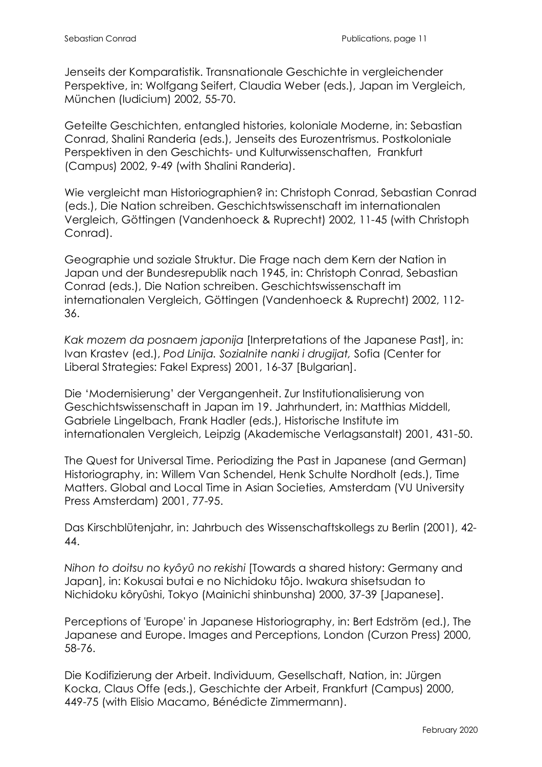Jenseits der Komparatistik. Transnationale Geschichte in vergleichender Perspektive, in: Wolfgang Seifert, Claudia Weber (eds.), Japan im Vergleich, München (Iudicium) 2002, 55-70.

Geteilte Geschichten, entangled histories, koloniale Moderne, in: Sebastian Conrad, Shalini Randeria (eds.), Jenseits des Eurozentrismus. Postkoloniale Perspektiven in den Geschichts- und Kulturwissenschaften, Frankfurt (Campus) 2002, 9-49 (with Shalini Randeria).

Wie vergleicht man Historiographien? in: Christoph Conrad, Sebastian Conrad (eds.), Die Nation schreiben. Geschichtswissenschaft im internationalen Vergleich, Göttingen (Vandenhoeck & Ruprecht) 2002, 11-45 (with Christoph Conrad).

Geographie und soziale Struktur. Die Frage nach dem Kern der Nation in Japan und der Bundesrepublik nach 1945, in: Christoph Conrad, Sebastian Conrad (eds.), Die Nation schreiben. Geschichtswissenschaft im internationalen Vergleich, Göttingen (Vandenhoeck & Ruprecht) 2002, 112- 36.

*Kak mozem da posnaem japonija* [Interpretations of the Japanese Past], in: Ivan Krastev (ed.), *Pod Linija. Sozialnite nanki i drugijat,* Sofia (Center for Liberal Strategies: Fakel Express) 2001, 16-37 [Bulgarian].

Die 'Modernisierung' der Vergangenheit. Zur Institutionalisierung von Geschichtswissenschaft in Japan im 19. Jahrhundert, in: Matthias Middell, Gabriele Lingelbach, Frank Hadler (eds.), Historische Institute im internationalen Vergleich, Leipzig (Akademische Verlagsanstalt) 2001, 431-50.

The Quest for Universal Time. Periodizing the Past in Japanese (and German) Historiography, in: Willem Van Schendel, Henk Schulte Nordholt (eds.), Time Matters. Global and Local Time in Asian Societies, Amsterdam (VU University Press Amsterdam) 2001, 77-95.

Das Kirschblütenjahr, in: Jahrbuch des Wissenschaftskollegs zu Berlin (2001), 42- 44.

*Nihon to doitsu no kyôyû no rekishi* [Towards a shared history: Germany and Japan], in: Kokusai butai e no Nichidoku tôjo. Iwakura shisetsudan to Nichidoku kôryûshi, Tokyo (Mainichi shinbunsha) 2000, 37-39 [Japanese].

Perceptions of 'Europe' in Japanese Historiography, in: Bert Edström (ed.), The Japanese and Europe. Images and Perceptions, London (Curzon Press) 2000, 58-76.

Die Kodifizierung der Arbeit. Individuum, Gesellschaft, Nation, in: Jürgen Kocka, Claus Offe (eds.), Geschichte der Arbeit, Frankfurt (Campus) 2000, 449-75 (with Elisio Macamo, Bénédicte Zimmermann).